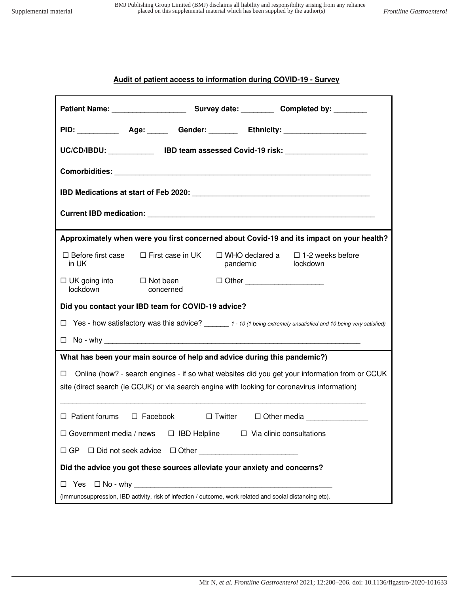## **Audit of patient access to information during COVID-19 - Survey**

| PID: _____________ Age: _______ Gender: ________ Ethnicity: ____________________                                                                                                                   |                                 |                                                           |
|----------------------------------------------------------------------------------------------------------------------------------------------------------------------------------------------------|---------------------------------|-----------------------------------------------------------|
| UC/CD/IBDU: _______________ IBD team assessed Covid-19 risk: ___________________                                                                                                                   |                                 |                                                           |
|                                                                                                                                                                                                    |                                 |                                                           |
|                                                                                                                                                                                                    |                                 |                                                           |
|                                                                                                                                                                                                    |                                 |                                                           |
| Approximately when were you first concerned about Covid-19 and its impact on your health?                                                                                                          |                                 |                                                           |
| $\Box$ First case in UK<br>$\Box$ Before first case<br>in UK                                                                                                                                       | pandemic                        | $\Box$ WHO declared a $\Box$ 1-2 weeks before<br>lockdown |
| $\Box$ UK going into $\Box$ Not been<br>lockdown<br>concerned                                                                                                                                      | □ Other _______________________ |                                                           |
| Did you contact your IBD team for COVID-19 advice?                                                                                                                                                 |                                 |                                                           |
| Yes - how satisfactory was this advice? ______ 1 - 10 (1 being extremely unsatisfied and 10 being very satisfied)<br>□                                                                             |                                 |                                                           |
|                                                                                                                                                                                                    |                                 |                                                           |
| What has been your main source of help and advice during this pandemic?)                                                                                                                           |                                 |                                                           |
| Online (how? - search engines - if so what websites did you get your information from or CCUK<br>□<br>site (direct search (ie CCUK) or via search engine with looking for coronavirus information) |                                 |                                                           |
| □ Patient forums □ Facebook □ Twitter □ Other media _______________                                                                                                                                |                                 |                                                           |
| □ Government media / news □ IBD Helpline □ Via clinic consultations                                                                                                                                |                                 |                                                           |
| $\Box$ GP                                                                                                                                                                                          |                                 |                                                           |
| Did the advice you got these sources alleviate your anxiety and concerns?                                                                                                                          |                                 |                                                           |
|                                                                                                                                                                                                    |                                 |                                                           |
| (immunosuppression, IBD activity, risk of infection / outcome, work related and social distancing etc).                                                                                            |                                 |                                                           |